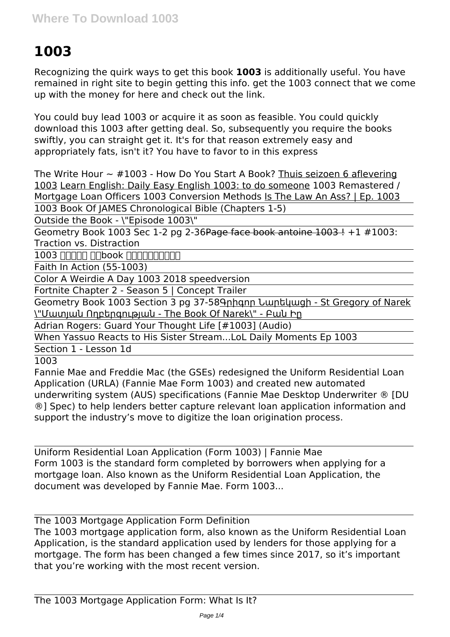## **1003**

Recognizing the quirk ways to get this book **1003** is additionally useful. You have remained in right site to begin getting this info. get the 1003 connect that we come up with the money for here and check out the link.

You could buy lead 1003 or acquire it as soon as feasible. You could quickly download this 1003 after getting deal. So, subsequently you require the books swiftly, you can straight get it. It's for that reason extremely easy and appropriately fats, isn't it? You have to favor to in this express

The Write Hour  $\sim$  #1003 - How Do You Start A Book? Thuis seizoen 6 aflevering 1003 Learn English: Daily Easy English 1003: to do someone 1003 Remastered / Mortgage Loan Officers 1003 Conversion Methods Is The Law An Ass? | Ep. 1003 1003 Book Of JAMES Chronological Bible (Chapters 1-5)

Outside the Book - \"Episode 1003\"

Geometry Book 1003 Sec 1-2 pg 2-36Page face book antoine 1003 ! +1 #1003: Traction vs. Distraction

 $1003$   $\Box$  $\Box$  $\Box$  $\Box$ book  $\Box$  $\Box$  $\Box$  $\Box$  $\Box$  $\Box$  $\Box$ 

Faith In Action (55-1003)

Color A Weirdie A Day 1003 2018 speedversion

Fortnite Chapter 2 - Season 5 | Concept Trailer

Geometry Book 1003 Section 3 pg 37-58Գրիգոր Նարեկացի - St Gregory of Narek \"Մատյան Ողբերգության - The Book Of Narek\" - Բան Իը

Adrian Rogers: Guard Your Thought Life [#1003] (Audio)

When Yassuo Reacts to His Sister Stream...LoL Daily Moments Ep 1003

Section 1 - Lesson 1d

1003

Fannie Mae and Freddie Mac (the GSEs) redesigned the Uniform Residential Loan Application (URLA) (Fannie Mae Form 1003) and created new automated underwriting system (AUS) specifications (Fannie Mae Desktop Underwriter ® [DU ®] Spec) to help lenders better capture relevant loan application information and support the industry's move to digitize the loan origination process.

Uniform Residential Loan Application (Form 1003) | Fannie Mae Form 1003 is the standard form completed by borrowers when applying for a mortgage loan. Also known as the Uniform Residential Loan Application, the document was developed by Fannie Mae. Form 1003...

The 1003 Mortgage Application Form Definition

The 1003 mortgage application form, also known as the Uniform Residential Loan Application, is the standard application used by lenders for those applying for a mortgage. The form has been changed a few times since 2017, so it's important that you're working with the most recent version.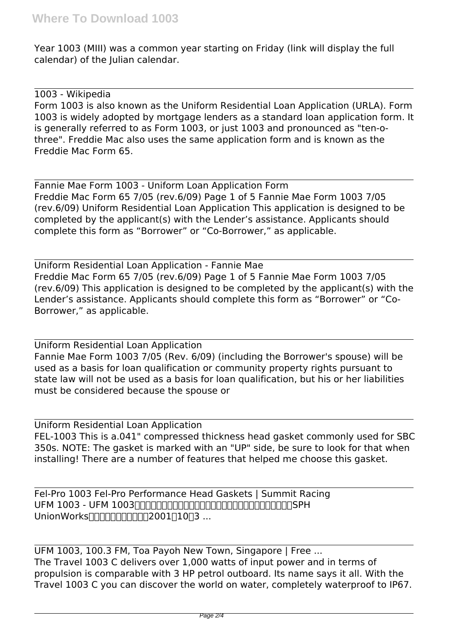Year 1003 (MIII) was a common year starting on Friday (link will display the full calendar) of the Julian calendar.

1003 - Wikipedia

Form 1003 is also known as the Uniform Residential Loan Application (URLA). Form 1003 is widely adopted by mortgage lenders as a standard loan application form. It is generally referred to as Form 1003, or just 1003 and pronounced as "ten-othree". Freddie Mac also uses the same application form and is known as the Freddie Mac Form 65.

Fannie Mae Form 1003 - Uniform Loan Application Form Freddie Mac Form 65 7/05 (rev.6/09) Page 1 of 5 Fannie Mae Form 1003 7/05 (rev.6/09) Uniform Residential Loan Application This application is designed to be completed by the applicant(s) with the Lender's assistance. Applicants should complete this form as "Borrower" or "Co-Borrower," as applicable.

Uniform Residential Loan Application - Fannie Mae Freddie Mac Form 65 7/05 (rev.6/09) Page 1 of 5 Fannie Mae Form 1003 7/05 (rev.6/09) This application is designed to be completed by the applicant(s) with the Lender's assistance. Applicants should complete this form as "Borrower" or "Co-Borrower," as applicable.

Uniform Residential Loan Application Fannie Mae Form 1003 7/05 (Rev. 6/09) (including the Borrower's spouse) will be used as a basis for loan qualification or community property rights pursuant to state law will not be used as a basis for loan qualification, but his or her liabilities must be considered because the spouse or

Uniform Residential Loan Application FEL-1003 This is a.041" compressed thickness head gasket commonly used for SBC 350s. NOTE: The gasket is marked with an "UP" side, be sure to look for that when installing! There are a number of features that helped me choose this gasket.

Fel-Pro 1003 Fel-Pro Performance Head Gaskets | Summit Racing UFM 1003 - UFM 100300000000000000000000000000000005PH  $UnionWorks$  $\Box$ 

UFM 1003, 100.3 FM, Toa Payoh New Town, Singapore | Free ... The Travel 1003 C delivers over 1,000 watts of input power and in terms of propulsion is comparable with 3 HP petrol outboard. Its name says it all. With the Travel 1003 C you can discover the world on water, completely waterproof to IP67.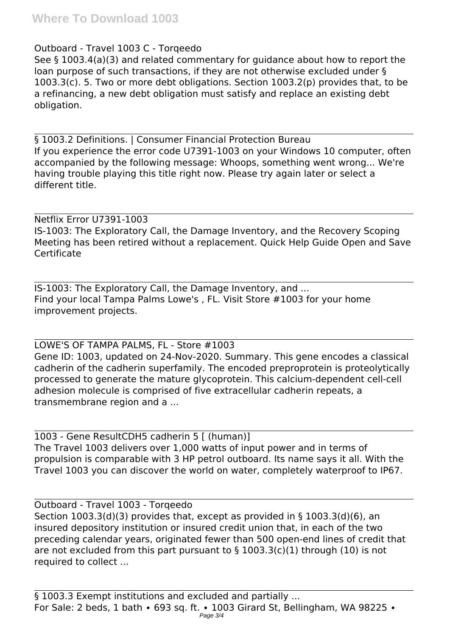## Outboard - Travel 1003 C - Torqeedo

See § 1003.4(a)(3) and related commentary for guidance about how to report the loan purpose of such transactions, if they are not otherwise excluded under § 1003.3(c). 5. Two or more debt obligations. Section 1003.2(p) provides that, to be a refinancing, a new debt obligation must satisfy and replace an existing debt obligation.

§ 1003.2 Definitions. | Consumer Financial Protection Bureau If you experience the error code U7391-1003 on your Windows 10 computer, often accompanied by the following message: Whoops, something went wrong... We're having trouble playing this title right now. Please try again later or select a different title.

## Netflix Error U7391-1003 IS-1003: The Exploratory Call, the Damage Inventory, and the Recovery Scoping Meeting has been retired without a replacement. Quick Help Guide Open and Save Certificate

IS-1003: The Exploratory Call, the Damage Inventory, and ... Find your local Tampa Palms Lowe's , FL. Visit Store #1003 for your home improvement projects.

LOWE'S OF TAMPA PALMS, FL - Store #1003 Gene ID: 1003, updated on 24-Nov-2020. Summary. This gene encodes a classical cadherin of the cadherin superfamily. The encoded preproprotein is proteolytically processed to generate the mature glycoprotein. This calcium-dependent cell-cell adhesion molecule is comprised of five extracellular cadherin repeats, a transmembrane region and a ...

1003 - Gene ResultCDH5 cadherin 5 [ (human)] The Travel 1003 delivers over 1,000 watts of input power and in terms of propulsion is comparable with 3 HP petrol outboard. Its name says it all. With the Travel 1003 you can discover the world on water, completely waterproof to IP67.

Outboard - Travel 1003 - Torqeedo Section 1003.3(d)(3) provides that, except as provided in § 1003.3(d)(6), an insured depository institution or insured credit union that, in each of the two preceding calendar years, originated fewer than 500 open-end lines of credit that are not excluded from this part pursuant to  $\S$  1003.3(c)(1) through (10) is not required to collect ...